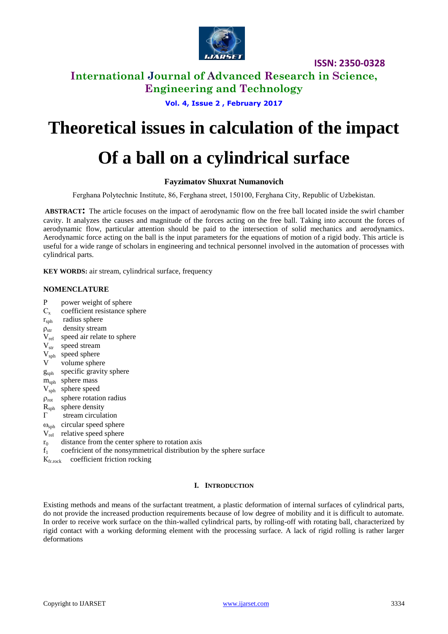

### **International Journal of Advanced Research in Science, Engineering and Technology**

### **Vol. 4, Issue 2 , February 2017**

# **Theoretical issues in calculation of the impact**

# **Of a ball on a cylindrical surface**

### **Fayzimatov Shuxrat Numanovich**

Ferghana Polytechnic Institute, 86, Ferghana street, 150100, Ferghana Сity, Republic of Uzbekistan.

**ABSTRACT:** The article focuses on the impact of aerodynamic flow on the free ball located inside the swirl chamber cavity. It analyzes the causes and magnitude of the forces acting on the free ball. Taking into account the forces of aerodynamic flow, particular attention should be paid to the intersection of solid mechanics and aerodynamics. Aerodynamic force acting on the ball is the input parameters for the equations of motion of a rigid body. This article is useful for a wide range of scholars in engineering and technical personnel involved in the automation of processes with cylindrical parts.

**KEY WORDS:** air stream, cylindrical surface, frequency

#### **NOMENCLATURE**

- P power weight of sphere
- C<sub>y</sub> coefficient resistance sphere
- $r<sub>sph</sub>$  radius sphere
- $\rho_{str}$  density stream
- $V_{rel}$  speed air relate to sphere
- $V_{str}$  speed stream
- $V<sub>sph</sub>$  speed sphere
- V volume sphere
- gsph specific gravity sphere
- m<sub>sph</sub> sphere mass
- V<sub>sph</sub> sphere speed
- $\rho_{\text{rot}}$  sphere rotation radius
- $R<sub>sph</sub>$  sphere density
- $\Gamma$  stream circulation
- $\omega_{\rm sph}$  circular speed sphere
- $V_{rel}$  relative speed sphere
- $r_0$  distance from the center sphere to rotation axis
- $f_1$  coefricient of the nonsymmetrical distribution by the sphere surface
- K<sub>fr.rock</sub> coefficient friction rocking

#### **I. INTRODUCTION**

Existing methods and means of the surfactant treatment, a plastic deformation of internal surfaces of cylindrical parts, do not provide the increased production requirements because of low degree of mobility and it is difficult to automate. In order to receive work surface on the thin-walled cylindrical parts, by rolling-off with rotating ball, characterized by rigid contact with a working deforming element with the processing surface. A lack of rigid rolling is rather larger deformations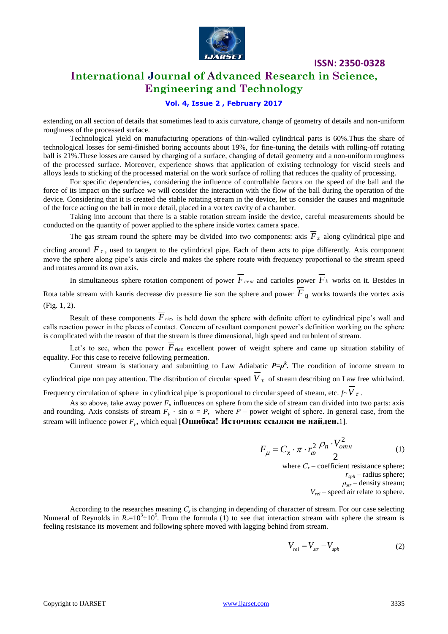

### **International Journal of Advanced Research in Science, Engineering and Technology**

#### **Vol. 4, Issue 2 , February 2017**

extending on all section of details that sometimes lead to axis curvature, change of geometry of details and non-uniform roughness of the processed surface.

Technological yield on manufacturing operations of thin-walled cylindrical parts is 60%.Thus the share of technological losses for semi-finished boring accounts about 19%, for fine-tuning the details with rolling-off rotating ball is 21%.These losses are caused by charging of a surface, changing of detail geometry and a non-uniform roughness of the processed surface. Moreover, experience shows that application of existing technology for viscid steels and alloys leads to sticking of the processed material on the work surface of rolling that reduces the quality of processing.

For specific dependencies, considering the influence of controllable factors on the speed of the ball and the force of its impact on the surface we will consider the interaction with the flow of the ball during the operation of the device. Considering that it is created the stable rotating stream in the device, let us consider the causes and magnitude of the force acting on the ball in more detail, placed in a vortex cavity of a chamber.

Taking into account that there is a stable rotation stream inside the device, careful measurements should be conducted on the quantity of power applied to the sphere inside vortex camera space.

The gas stream round the sphere may be divided into two components: axis  $F<sub>z</sub>$  along cylindrical pipe and

circling around  $\overline{F}_\tau$ , used to tangent to the cylindrical pipe. Each of them acts to pipe differently. Axis component move the sphere along pipe's axis circle and makes the sphere rotate with frequency proportional to the stream speed and rotates around its own axis.

In simultaneous sphere rotation component of power  $F_{cent}$  and carioles power  $F_k$  works on it. Besides in Rota table stream with kauris decrease div pressure lie son the sphere and power *Fq* works towards the vortex axis (Fig. 1, 2).

Result of these components *Fries* is held down the sphere with definite effort to cylindrical pipe's wall and calls reaction power in the places of contact. Concern of resultant component power's definition working on the sphere is complicated with the reason of that the stream is three dimensional, high speed and turbulent of stream.

Let's to see, when the power  $F_{\text{ries}}$  excellent power of weight sphere and came up situation stability of equality. For this case to receive following permeation.

Current stream is stationary and submitting to Law Adiabatic  $P = \rho^k$ . The condition of income stream to cylindrical pipe non pay attention. The distribution of circular speed  $V<sub>\tau</sub>$  of stream describing on Law free whirlwind.

Frequency circulation of sphere in cylindrical pipe is proportional to circular speed of stream, etc.  $f \sim V \tau$ .

As so above, take away power  $F_\mu$  influences on sphere from the side of stream can divided into two parts: axis and rounding. Axis consists of stream  $F_\mu$  · sin  $\alpha = P$ , where  $P$  – power weight of sphere. In general case, from the stream will influence power  $F_\mu$ , which equal [Ошибка! Источник ссылки не найден.1].

$$
F_{\mu} = C_x \cdot \pi \cdot r_{\omega}^2 \frac{\rho_n \cdot V_{om\mu}^2}{2} \tag{1}
$$

where  $C_x$  – coefficient resistance sphere; *rsph* – radius sphere;  $\rho_{str}$  – density stream; *Vrel* – speed air relate to sphere.

According to the researches meaning *С<sup>х</sup>* is changing in depending of character of stream. For our case selecting Numeral of Reynolds in  $R_e=10^3\div 10^5$ . From the formula (1) to see that interaction stream with sphere the stream is feeling resistance its movement and following sphere moved with lagging behind from stream.

$$
V_{rel} = V_{str} - V_{sph} \tag{2}
$$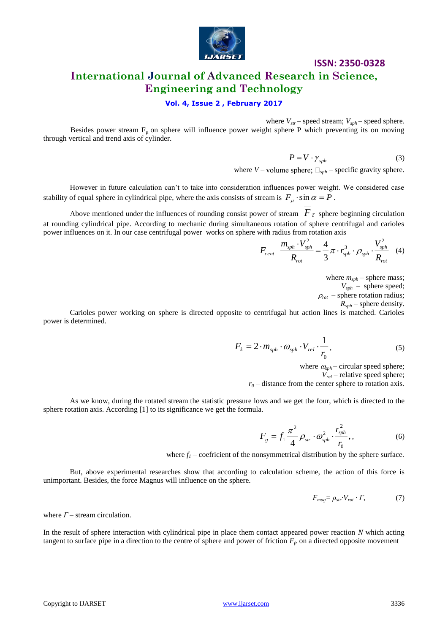

### **International Journal of Advanced Research in Science, Engineering and Technology**

#### **Vol. 4, Issue 2 , February 2017**

where  $V_{str}$  – speed stream;  $V_{sph}$  – speed sphere.

Besides power stream  $F_u$  on sphere will influence power weight sphere P which preventing its on moving through vertical and trend axis of cylinder.

$$
P = V \cdot \gamma_{sph} \tag{3}
$$

where  $V$  – volume sphere;  $\Box_{sph}$  – specific gravity sphere.

However in future calculation can't to take into consideration influences power weight. We considered case stability of equal sphere in cylindrical pipe, where the axis consists of stream is  $F_{\mu} \cdot \sin \alpha = P$ .

Above mentioned under the influences of rounding consist power of stream  $F_{\tau}$  sphere beginning circulation at rounding cylindrical pipe. According to mechanic during simultaneous rotation of sphere centrifugal and carioles power influences on it. In our case centrifugal power works on sphere with radius from rotation axis

$$
F_{cent} \frac{m_{sph} \cdot V_{sph}^2}{R_{rot}} = \frac{4}{3} \pi \cdot r_{sph}^3 \cdot \rho_{sph} \cdot \frac{V_{sph}^2}{R_{rot}} \quad (4)
$$

where  $m_{sph}$  – sphere mass;  $V_{sph}$  – sphere speed;  $\rho_{rot}$  – sphere rotation radius;

*Rsph* – sphere density.

Carioles power working on sphere is directed opposite to centrifugal hut action lines is matched. Carioles power is determined.

$$
F_k = 2 \cdot m_{sph} \cdot \omega_{sph} \cdot V_{rel} \cdot \frac{1}{r_0},\tag{5}
$$

where  $\omega_{\text{sph}}$  – circular speed sphere;

*Vrel* – relative speed sphere;

 $r<sub>0</sub>$  – distance from the center sphere to rotation axis.

As we know, during the rotated stream the statistic pressure lows and we get the four, which is directed to the sphere rotation axis. According [1] to its significance we get the formula.

$$
F_{g} = f_{1} \frac{\pi^{2}}{4} \rho_{str} \cdot \omega_{sph}^{2} \cdot \frac{r_{sph}^{2}}{r_{0}}, \qquad (6)
$$

where  $f<sub>l</sub>$  – coefricient of the nonsymmetrical distribution by the sphere surface.

But, above experimental researches show that according to calculation scheme, the action of this force is unimportant. Besides, the force Magnus will influence on the sphere.

$$
F_{mag} = \rho_{str} \cdot V_{rot} \cdot \Gamma, \tag{7}
$$

where  $\Gamma$  – stream circulation.

In the result of sphere interaction with cylindrical pipe in place them contact appeared power reaction *N* which acting tangent to surface pipe in a direction to the centre of sphere and power of friction  $F_f$  on a directed opposite movement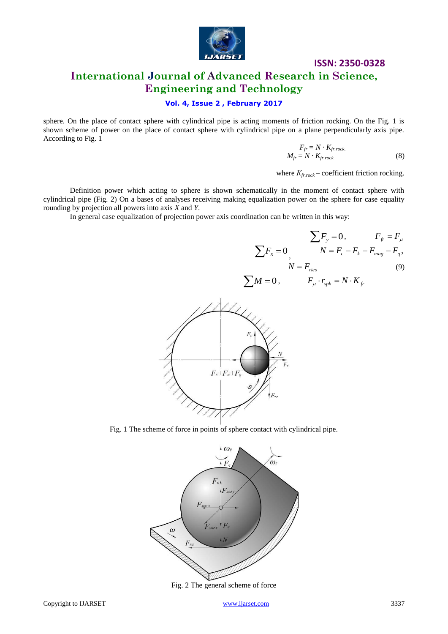

#### **Vol. 4, Issue 2 , February 2017**

sphere. On the place of contact sphere with cylindrical pipe is acting moments of friction rocking. On the Fig. 1 is shown scheme of power on the place of contact sphere with cylindrical pipe on a plane perpendicularly axis pipe. According to Fig. 1

$$
F_{fr} = N \cdot K_{fr, rock.}
$$
  

$$
M_{fr} = N \cdot K_{fr, rock}
$$
 (8)

where *Кfr.rock* – coefficient friction rocking.

Definition power which acting to sphere is shown schematically in the moment of contact sphere with cylindrical pipe (Fig. 2) On a bases of analyses receiving making equalization power on the sphere for case equality rounding by projection all powers into axis *X* and *Y*.

In general case equalization of projection power axis coordination can be written in this way:

$$
\sum F_y = 0, \qquad F_{fr} = F_{\mu}
$$

$$
\sum F_x = 0, \qquad N = F_c - F_k - F_{mag} - F_q,
$$

$$
N = F_{ries} \qquad (9)
$$

$$
\sum M = 0, \qquad F_{\mu} \cdot r_{sph} = N \cdot K_{fr}
$$



Fig. 1 The scheme of force in points of sphere contact with cylindrical pipe.

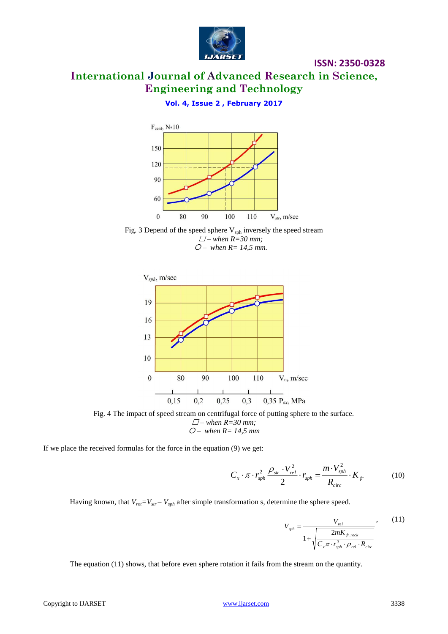

### **Vol. 4, Issue 2 , February 2017**



Fig. 3 Depend of the speed sphere  $V_{\text{sph}}$  inversely the speed stream *– when R=30 mm; – when R= 14,5 mm.*



Fig. 4 The impact of speed stream on centrifugal force of putting sphere to the surface. *– when R=30 mm; – when R= 14,5 mm*

If we place the received formulas for the force in the equation (9) we get:

$$
C_x \cdot \pi \cdot r_{sph}^2 \frac{\rho_{str} \cdot V_{rel}^2}{2} \cdot r_{sph} = \frac{m \cdot V_{sph}^2}{R_{circ}} \cdot K_{fr}
$$
 (10)

Having known, that  $V_{rot} = V_{str} - V_{sph}$  after simple transformation s, determine the sphere speed.

$$
V_{sph} = \frac{V_{rel}}{1 + \sqrt{\frac{2mK_{fr,rock}}{C_x \pi \cdot r_{sph}^3 \cdot \rho_{rel} \cdot R_{circ}}}}
$$
, (11)

**ISSN: 2350-0328**

The equation (11) shows, that before even sphere rotation it fails from the stream on the quantity.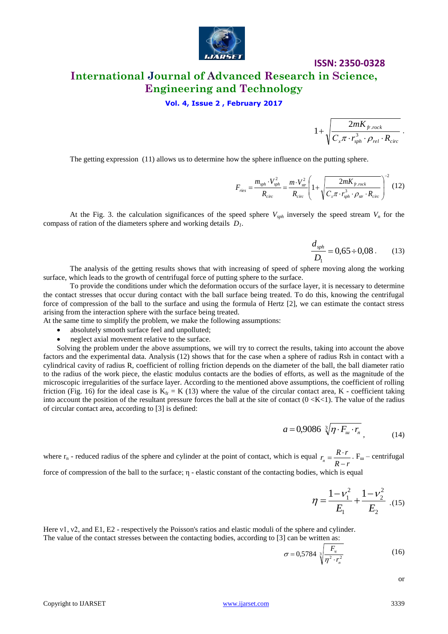

#### **Vol. 4, Issue 2 , February 2017**

 $\mathbf{x}^{\prime\prime}$  **r**<sub>sph</sub>  $\mathcal{P}_{rel}$   $\mathbf{A}_{circ}$ *fr rock*  $C_{\rm x}\pi\cdot r_{\rm sph}^3\cdot\rho_{\rm rel}\cdot R$ *mK*  $\cdot r_{\scriptscriptstyle snh}^3 \cdot \rho_{\scriptscriptstyle rel} \cdot$  $\overline{+}$  $\pi\cdot r_{\rm sph}^3\cdot\rho$  $1+\sqrt{\frac{2mK_{fr,rock}}{r}}$ .

The getting expression (11) allows us to determine how the sphere influence on the putting sphere.

$$
F_{\text{ries}} = \frac{m_{\text{sph}} \cdot V_{\text{sph}}^2}{R_{\text{circ}}} = \frac{m \cdot V_{\text{sr}}^2}{R_{\text{circ}}} \left( 1 + \sqrt{\frac{2mK_{\text{fr},\text{rock}}}{C_x \pi \cdot r_{\text{sph}}^3 \cdot \rho_{\text{sr}} \cdot R_{\text{circ}}}} \right)^{-2} (12)
$$

At the Fig. 3. the calculation significances of the speed sphere  $V_{sph}$  inversely the speed stream  $V_n$  for the compass of ration of the diameters sphere and working details *D1*.

$$
\frac{d_{sph}}{D_1} = 0,65 \div 0,08 \,. \tag{13}
$$

The analysis of the getting results shows that with increasing of speed of sphere moving along the working surface, which leads to the growth of centrifugal force of putting sphere to the surface.

To provide the conditions under which the deformation occurs of the surface layer, it is necessary to determine the contact stresses that occur during contact with the ball surface being treated. To do this, knowing the centrifugal force of compression of the ball to the surface and using the formula of Hertz [2], we can estimate the contact stress arising from the interaction sphere with the surface being treated.

At the same time to simplify the problem, we make the following assumptions:

- absolutely smooth surface feel and unpolluted;
- neglect axial movement relative to the surface.

Solving the problem under the above assumptions, we will try to correct the results, taking into account the above factors and the experimental data. Analysis (12) shows that for the case when a sphere of radius Rsh in contact with a cylindrical cavity of radius R, coefficient of rolling friction depends on the diameter of the ball, the ball diameter ratio to the radius of the work piece, the elastic modulus contacts are the bodies of efforts, as well as the magnitude of the microscopic irregularities of the surface layer. According to the mentioned above assumptions, the coefficient of rolling friction (Fig. 16) for the ideal case is  $K_f = K(13)$  where the value of the circular contact area, K - coefficient taking into account the position of the resultant pressure forces the ball at the site of contact  $(0 \lt K \lt 1)$ . The value of the radius of circular contact area, according to [3] is defined:

$$
a = 0.9086 \sqrt[3]{\eta \cdot F_{u} \cdot r_{n}} \tag{14}
$$

where  $r_n$  - reduced radius of the sphere and cylinder at the point of contact, which is equal  $R - r$  $r_n = \frac{R \cdot r}{R - r}$  $=\frac{R \cdot r}{r}$ . F<sub>m</sub> – centrifugal

force of compression of the ball to the surface; η - elastic constant of the contacting bodies, which is equal

$$
\eta = \frac{1 - v_1^2}{E_1} + \frac{1 - v_2^2}{E_2} \tag{15}
$$

Here ν1, ν2, and E1, E2 - respectively the Poisson's ratios and elastic moduli of the sphere and cylinder. The value of the contact stresses between the contacting bodies, according to [3] can be written as:

$$
\sigma = 0.5784 \sqrt[3]{\frac{F_u}{\eta^2 \cdot r_n^2}}
$$
 (16)

or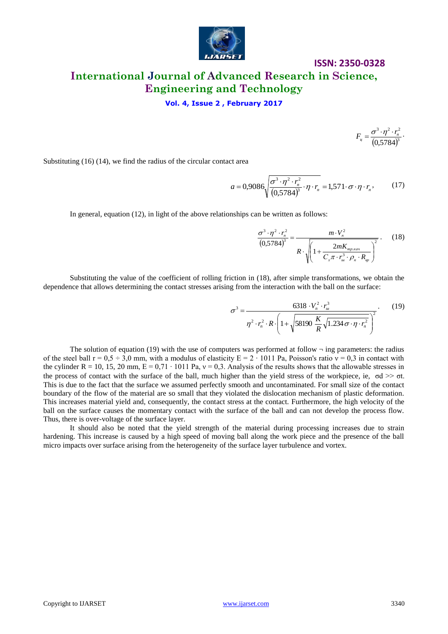

#### **Vol. 4, Issue 2 , February 2017**

 $(0,5784)^3$  $3 \t 2^2 \t 2^2$ 0,5784  $T_{u} = \frac{0}{(\Omega 570 \text{ A})^3}$  $F_u = \frac{\sigma^3 \cdot \eta^2 \cdot r_n^2}{(r_1 - r_2)^3}.$ 

Substituting (16) (14), we find the radius of the circular contact area

$$
a = 0,9086\sqrt{\frac{\sigma^3 \cdot \eta^2 \cdot r_n^2}{(0,5784)^3} \cdot \eta \cdot r_n} = 1,571 \cdot \sigma \cdot \eta \cdot r_n, \qquad (17)
$$

In general, equation (12), in light of the above relationships can be written as follows:

$$
\frac{\sigma^3 \cdot \eta^2 \cdot r_n^2}{(0,5784)^3} = \frac{m \cdot V_n^2}{R \cdot \sqrt{\left(1 + \frac{2mK_{mp,\kappa\alpha q}}{C_x \pi \cdot r_{\mu}^3 \cdot \rho_n \cdot R_{\varphi}\right)^2}}}. \quad (18)
$$

Substituting the value of the coefficient of rolling friction in (18), after simple transformations, we obtain the dependence that allows determining the contact stresses arising from the interaction with the ball on the surface:

$$
\sigma^3 = \frac{6318 \cdot V_n^2 \cdot r_u^3}{\eta^2 \cdot r_n^2 \cdot R \cdot \left(1 + \sqrt{58190 \frac{K}{R} \sqrt{1.234 \sigma \cdot \eta \cdot r_n^2}}\right)^2}.
$$
(19)

The solution of equation (19) with the use of computers was performed at follow  $\neg$  ing parameters: the radius of the steel ball  $r = 0.5 \div 3.0$  mm, with a modulus of elasticity  $E = 2 \cdot 1011$  Pa, Poisson's ratio  $v = 0.3$  in contact with the cylinder R = 10, 15, 20 mm,  $E = 0.71 \cdot 1011$  Pa,  $v = 0.3$ . Analysis of the results shows that the allowable stresses in the process of contact with the surface of the ball, much higher than the yield stress of the workpiece, ie,  $\sigma d \gg \sigma t$ . This is due to the fact that the surface we assumed perfectly smooth and uncontaminated. For small size of the contact boundary of the flow of the material are so small that they violated the dislocation mechanism of plastic deformation. This increases material yield and, consequently, the contact stress at the contact. Furthermore, the high velocity of the ball on the surface causes the momentary contact with the surface of the ball and can not develop the process flow. Thus, there is over-voltage of the surface layer.

It should also be noted that the yield strength of the material during processing increases due to strain hardening. This increase is caused by a high speed of moving ball along the work piece and the presence of the ball micro impacts over surface arising from the heterogeneity of the surface layer turbulence and vortex.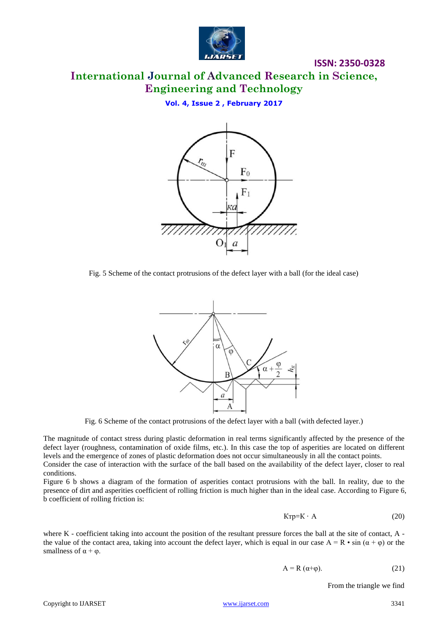

# **International Journal of Advanced Research in Science, Engineering and Technology**

**Vol. 4, Issue 2 , February 2017**



Fig. 5 Scheme of the contact protrusions of the defect layer with a ball (for the ideal case)



Fig. 6 Scheme of the contact protrusions of the defect layer with a ball (with defected layer.)

The magnitude of contact stress during plastic deformation in real terms significantly affected by the presence of the defect layer (roughness, contamination of oxide films, etc.). In this case the top of asperities are located on different levels and the emergence of zones of plastic deformation does not occur simultaneously in all the contact points.

Consider the case of interaction with the surface of the ball based on the availability of the defect layer, closer to real conditions.

Figure 6 b shows a diagram of the formation of asperities contact protrusions with the ball. In reality, due to the presence of dirt and asperities coefficient of rolling friction is much higher than in the ideal case. According to Figure 6, b coefficient of rolling friction is:

$$
K\tau p = K \cdot A \tag{20}
$$

where K - coefficient taking into account the position of the resultant pressure forces the ball at the site of contact, A the value of the contact area, taking into account the defect layer, which is equal in our case  $A = R \cdot \sin(\alpha + \varphi)$  or the smallness of  $\alpha + \varphi$ .

$$
A = R (\alpha + \varphi). \tag{21}
$$

From the triangle we find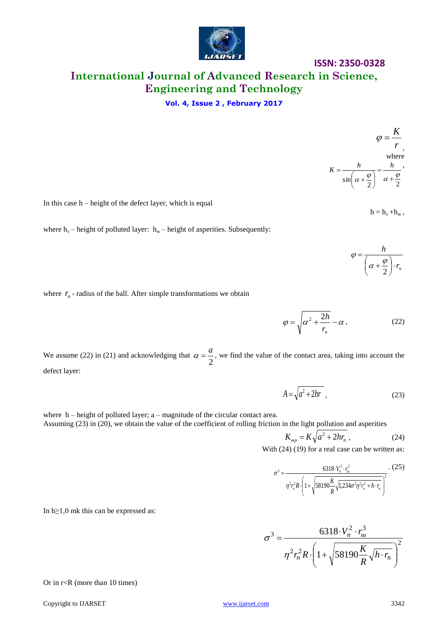

# **International Journal of Advanced Research in Science, Engineering and Technology**

#### **Vol. 4, Issue 2 , February 2017**

In this case h – height of the defect layer, which is equal

 $h = h_{3} + h_{M}$ ,

*h*

2  $\alpha + \frac{\varphi}{\varphi}$ 

 $\left(\alpha+\frac{\varphi}{2}\right)$ 

 $\overline{\mathcal{L}}$  $\int \alpha +$ 

 $=$ 

φ

*n r*

 $\cdot$ J

 $\sin\left(\alpha+\frac{\varphi}{2}\right) \quad \alpha+\frac{\varphi}{2}$  $=$  $\int$  $\left(\alpha+\frac{\varphi}{2}\right)$  $\int \alpha +$  $K = \frac{h}{\sqrt{h}} = \frac{h}{\sqrt{h}}$ 

*r*  $\varphi = \frac{K}{\sqrt{2}}$ 

, where

where  $h_3$  – height of polluted layer:  $h_M$  – height of asperities. Subsequently:

where  $r_n$  - radius of the ball. After simple transformations we obtain

 $\varphi = \sqrt{\alpha^2 + \frac{2n}{\alpha}} - \alpha$ *n r*  $2 \frac{2h}{2}$  $(22)$ 

We assume (22) in (21) and acknowledging that 2  $\alpha = \frac{a}{\epsilon}$ , we find the value of the contact area, taking into account the defect layer:

$$
A = \sqrt{a^2 + 2hr} \tag{23}
$$

where h – height of polluted layer; a – magnitude of the circular contact area. Assuming (23) in (20), we obtain the value of the coefficient of rolling friction in the light pollution and asperities

$$
K_{mp} = K\sqrt{a^2 + 2hr_n} \tag{24}
$$

With (24) (19) for a real case can be written as:

$$
\sigma^3 = \frac{6318 \cdot V_n^2 \cdot r_w^3}{\eta^2 r_n^2 R \cdot \left(1 + \sqrt{58190 \frac{K}{R} \sqrt{1,234 \sigma^2 \eta^2 r_n^2 + h \cdot r_n^2}}\right)^2} \tag{25}
$$

In h≥1,0 mk this can be expressed as:

$$
\sigma^3 = \frac{6318 \cdot V_n^2 \cdot r_{u}^3}{\eta^2 r_n^2 R \cdot \left(1 + \sqrt{58190 \frac{K}{R} \sqrt{h \cdot r_n}}\right)^2}
$$

Or in r<R (more than 10 times)

Copyright to IJARSET 3342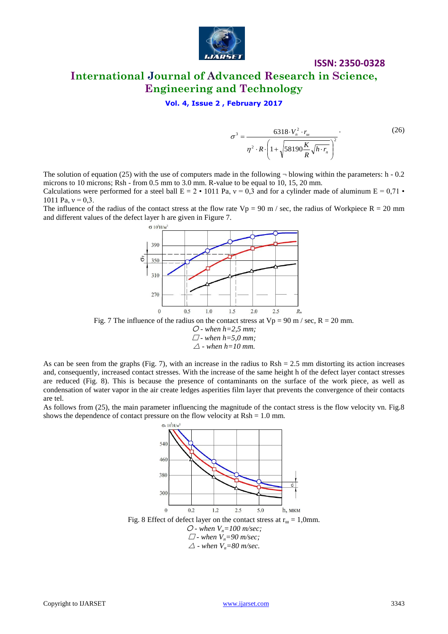

**Vol. 4, Issue 2 , February 2017**

$$
\sigma^3 = \frac{6318 \cdot V_n^2 \cdot r_w}{\eta^2 \cdot R \cdot \left(1 + \sqrt{58190 \frac{K}{R} \sqrt{h \cdot r_n}}\right)^2}
$$
 (26)

The solution of equation (25) with the use of computers made in the following  $\neg$  blowing within the parameters: h - 0.2 microns to 10 microns; Rsh - from 0.5 mm to 3.0 mm. R-value to be equal to 10, 15, 20 mm. Calculations were performed for a steel ball  $E = 2 \cdot 1011$  Pa,  $v = 0.3$  and for a cylinder made of aluminum  $E = 0.71$ . 1011 Pa,  $v = 0.3$ .

The influence of the radius of the contact stress at the flow rate  $Vp = 90$  m / sec, the radius of Workpiece R = 20 mm and different values of the defect layer h are given in Figure 7.



 *- when h=2,5 mm; - when h=5,0 mm;* 

 $\triangle$  - when  $h=10$  mm.

As can be seen from the graphs (Fig. 7), with an increase in the radius to  $Rsh = 2.5$  mm distorting its action increases and, consequently, increased contact stresses. With the increase of the same height h of the defect layer contact stresses are reduced (Fig. 8). This is because the presence of contaminants on the surface of the work piece, as well as condensation of water vapor in the air create ledges asperities film layer that prevents the convergence of their contacts are tel.

As follows from (25), the main parameter influencing the magnitude of the contact stress is the flow velocity vn. Fig.8 shows the dependence of contact pressure on the flow velocity at  $Rsh = 1.0$  mm.

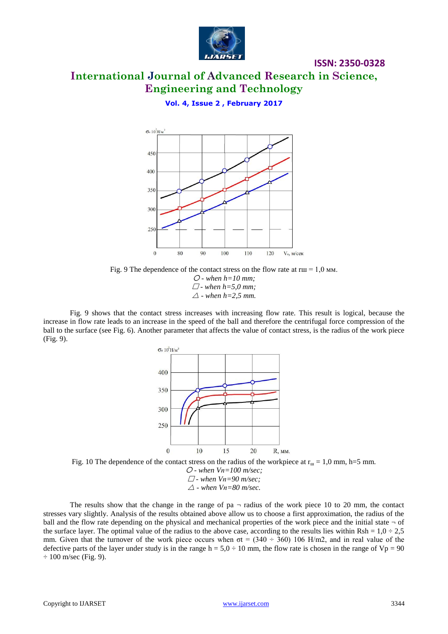

**ISSN: 2350-0328**

**Vol. 4, Issue 2 , February 2017**



Fig. 9 The dependence of the contact stress on the flow rate at  $rm = 1,0$  MM. *- when h=10 mm; - when h=5,0 mm;*   $\triangle$  *-* when  $h=2.5$  mm.

Fig. 9 shows that the contact stress increases with increasing flow rate. This result is logical, because the increase in flow rate leads to an increase in the speed of the ball and therefore the centrifugal force compression of the ball to the surface (see Fig. 6). Another parameter that affects the value of contact stress, is the radius of the work piece (Fig. 9).





The results show that the change in the range of  $pa - radius$  of the work piece 10 to 20 mm, the contact stresses vary slightly. Analysis of the results obtained above allow us to choose a first approximation, the radius of the ball and the flow rate depending on the physical and mechanical properties of the work piece and the initial state  $\neg$  of the surface layer. The optimal value of the radius to the above case, according to the results lies within Rsh =  $1,0 \div 2,5$ mm. Given that the turnover of the work piece occurs when  $\sigma t = (340 \div 360) 106$  H/m2, and in real value of the defective parts of the layer under study is in the range  $h = 5.0 \div 10$  mm, the flow rate is chosen in the range of  $Vp = 90$  $\div$  100 m/sec (Fig. 9).